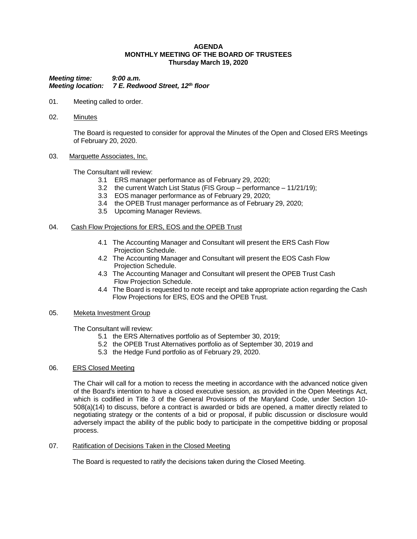#### **AGENDA MONTHLY MEETING OF THE BOARD OF TRUSTEES Thursday March 19, 2020**

*Meeting time: 9:00 a.m. Meeting location: 7 E. Redwood Street, 12th floor*

- 01. Meeting called to order.
- 02. Minutes

The Board is requested to consider for approval the Minutes of the Open and Closed ERS Meetings of February 20, 2020.

03. Marquette Associates, Inc.

The Consultant will review:

- 3.1 ERS manager performance as of February 29, 2020;
- 3.2 the current Watch List Status (FIS Group performance 11/21/19);
- 3.3 EOS manager performance as of February 29, 2020;
- 3.4 the OPEB Trust manager performance as of February 29, 2020;
- 3.5 Upcoming Manager Reviews.

# 04. Cash Flow Projections for ERS, EOS and the OPEB Trust

- 4.1 The Accounting Manager and Consultant will present the ERS Cash Flow Projection Schedule.
- 4.2 The Accounting Manager and Consultant will present the EOS Cash Flow Projection Schedule.
- 4.3 The Accounting Manager and Consultant will present the OPEB Trust Cash Flow Projection Schedule.
- 4.4 The Board is requested to note receipt and take appropriate action regarding the Cash Flow Projections for ERS, EOS and the OPEB Trust.

### 05. Meketa Investment Group

The Consultant will review:

- 5.1 the ERS Alternatives portfolio as of September 30, 2019;
- 5.2 the OPEB Trust Alternatives portfolio as of September 30, 2019 and
- 5.3 the Hedge Fund portfolio as of February 29, 2020.

### 06. ERS Closed Meeting

The Chair will call for a motion to recess the meeting in accordance with the advanced notice given of the Board's intention to have a closed executive session, as provided in the Open Meetings Act, which is codified in Title 3 of the General Provisions of the Maryland Code, under Section 10- 508(a)(14) to discuss, before a contract is awarded or bids are opened, a matter directly related to negotiating strategy or the contents of a bid or proposal, if public discussion or disclosure would adversely impact the ability of the public body to participate in the competitive bidding or proposal process.

07. Ratification of Decisions Taken in the Closed Meeting

The Board is requested to ratify the decisions taken during the Closed Meeting.